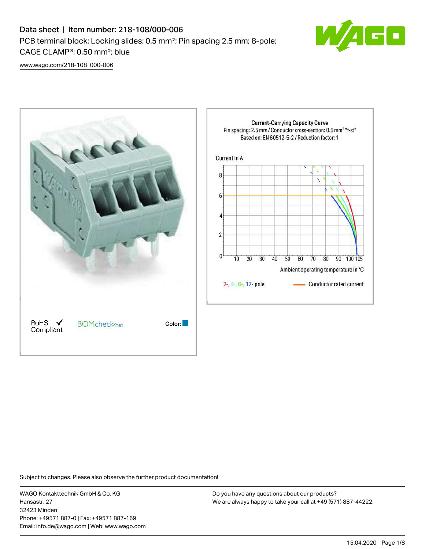

[www.wago.com/218-108\\_000-006](http://www.wago.com/218-108_000-006)



Subject to changes. Please also observe the further product documentation!

WAGO Kontakttechnik GmbH & Co. KG Hansastr. 27 32423 Minden Phone: +49571 887-0 | Fax: +49571 887-169 Email: info.de@wago.com | Web: www.wago.com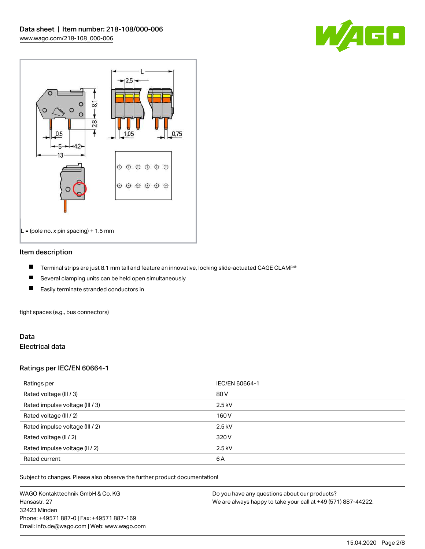



### Item description

- П Terminal strips are just 8.1 mm tall and feature an innovative, locking slide-actuated CAGE CLAMP®
- $\blacksquare$ Several clamping units can be held open simultaneously
- П Easily terminate stranded conductors in

tight spaces (e.g., bus connectors)

## Data Electrical data

# Ratings per IEC/EN 60664-1

| Ratings per                     | IEC/EN 60664-1 |
|---------------------------------|----------------|
| Rated voltage (III / 3)         | 80 V           |
| Rated impulse voltage (III / 3) | $2.5$ kV       |
| Rated voltage (III / 2)         | 160 V          |
| Rated impulse voltage (III / 2) | $2.5$ kV       |
| Rated voltage (II / 2)          | 320 V          |
| Rated impulse voltage (II / 2)  | $2.5$ kV       |
| Rated current                   | 6A             |

Subject to changes. Please also observe the further product documentation!

WAGO Kontakttechnik GmbH & Co. KG Hansastr. 27 32423 Minden Phone: +49571 887-0 | Fax: +49571 887-169 Email: info.de@wago.com | Web: www.wago.com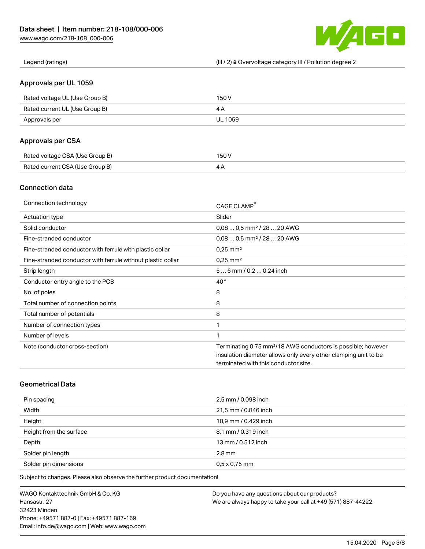

Legend (ratings) (III / 2) ≙ Overvoltage category III / Pollution degree 2

## Approvals per UL 1059

| Rated voltage UL (Use Group B) | 150 V   |
|--------------------------------|---------|
| Rated current UL (Use Group B) |         |
| Approvals per                  | UL 1059 |

# Approvals per CSA

| Rated voltage CSA (Use Group B) | 150 V |
|---------------------------------|-------|
| Rated current CSA (Use Group B) |       |

## Connection data

| Connection technology                                       | CAGE CLAMP®                                                              |
|-------------------------------------------------------------|--------------------------------------------------------------------------|
| Actuation type                                              | Slider                                                                   |
| Solid conductor                                             | $0.080.5$ mm <sup>2</sup> / 28  20 AWG                                   |
| Fine-stranded conductor                                     | $0.080.5$ mm <sup>2</sup> / 28  20 AWG                                   |
| Fine-stranded conductor with ferrule with plastic collar    | $0.25$ mm <sup>2</sup>                                                   |
| Fine-stranded conductor with ferrule without plastic collar | $0.25$ mm <sup>2</sup>                                                   |
| Strip length                                                | $56$ mm $/ 0.20.24$ inch                                                 |
| Conductor entry angle to the PCB                            | $40^{\circ}$                                                             |
| No. of poles                                                | 8                                                                        |
| Total number of connection points                           | 8                                                                        |
| Total number of potentials                                  | 8                                                                        |
| Number of connection types                                  | 1                                                                        |
| Number of levels                                            | 1                                                                        |
| Note (conductor cross-section)                              | Terminating 0.75 mm <sup>2</sup> /18 AWG conductors is possible; however |
|                                                             | insulation diameter allows only every other clamping unit to be          |
|                                                             | terminated with this conductor size.                                     |

## Geometrical Data

| Pin spacing             | 2,5 mm / 0.098 inch  |
|-------------------------|----------------------|
| Width                   | 21,5 mm / 0.846 inch |
| Height                  | 10,9 mm / 0.429 inch |
| Height from the surface | 8,1 mm / 0.319 inch  |
| Depth                   | 13 mm / 0.512 inch   |
| Solder pin length       | $2.8 \,\mathrm{mm}$  |
| Solder pin dimensions   | $0.5 \times 0.75$ mm |

Subject to changes. Please also observe the further product documentation!

WAGO Kontakttechnik GmbH & Co. KG Hansastr. 27 32423 Minden Phone: +49571 887-0 | Fax: +49571 887-169 Email: info.de@wago.com | Web: www.wago.com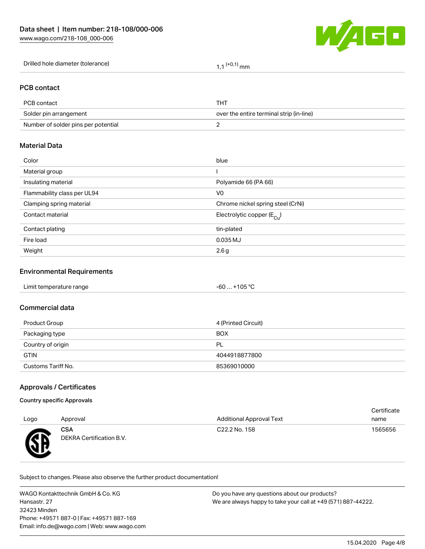

| Drilled hole diameter (tolerance) | $(+0,1)$ mm |
|-----------------------------------|-------------|
|                                   |             |

# PCB contact

| PCB contact                         | тнт                                      |
|-------------------------------------|------------------------------------------|
| Solder pin arrangement              | over the entire terminal strip (in-line) |
| Number of solder pins per potential |                                          |

## Material Data

| Color                       | blue                                  |
|-----------------------------|---------------------------------------|
| Material group              |                                       |
| Insulating material         | Polyamide 66 (PA 66)                  |
| Flammability class per UL94 | V0                                    |
| Clamping spring material    | Chrome nickel spring steel (CrNi)     |
| Contact material            | Electrolytic copper $(E_{\text{Cl}})$ |
| Contact plating             | tin-plated                            |
| Fire load                   | 0.035 MJ                              |
| Weight                      | 2.6g                                  |
|                             |                                       |

### Environmental Requirements

### Commercial data

| Product Group      | 4 (Printed Circuit) |
|--------------------|---------------------|
| Packaging type     | <b>BOX</b>          |
| Country of origin  | PL                  |
| <b>GTIN</b>        | 4044918877800       |
| Customs Tariff No. | 85369010000         |

## Approvals / Certificates

### Country specific Approvals

|           |                                        |                                 | Certificate |
|-----------|----------------------------------------|---------------------------------|-------------|
| Logo      | Approval                               | <b>Additional Approval Text</b> | name        |
| <b>RE</b> | <b>CSA</b><br>DEKRA Certification B.V. | C22.2 No. 158                   | 1565656     |

Subject to changes. Please also observe the further product documentation!

WAGO Kontakttechnik GmbH & Co. KG Hansastr. 27 32423 Minden Phone: +49571 887-0 | Fax: +49571 887-169 Email: info.de@wago.com | Web: www.wago.com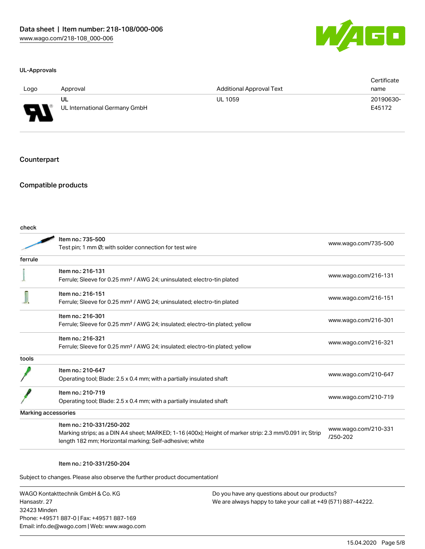

### UL-Approvals

| Logo   | Approval                      | <b>Additional Approval Text</b> | Certificate<br>name |
|--------|-------------------------------|---------------------------------|---------------------|
|        | UL                            | <b>UL 1059</b>                  | 20190630-           |
| $\Box$ | UL International Germany GmbH |                                 | E45172              |

### Counterpart

# Compatible products

check

|         | Item no.: 735-500                                                                                      | www.wago.com/735-500             |  |
|---------|--------------------------------------------------------------------------------------------------------|----------------------------------|--|
|         | Test pin; 1 mm Ø; with solder connection for test wire                                                 |                                  |  |
| ferrule |                                                                                                        |                                  |  |
|         | Item no.: 216-131                                                                                      |                                  |  |
|         | Ferrule; Sleeve for 0.25 mm <sup>2</sup> / AWG 24; uninsulated; electro-tin plated                     | www.wago.com/216-131             |  |
|         | Item no.: 216-151                                                                                      |                                  |  |
|         | Ferrule; Sleeve for 0.25 mm <sup>2</sup> / AWG 24; uninsulated; electro-tin plated                     | www.wago.com/216-151             |  |
|         | Item no.: 216-301                                                                                      |                                  |  |
|         | Ferrule; Sleeve for 0.25 mm <sup>2</sup> / AWG 24; insulated; electro-tin plated; yellow               | www.wago.com/216-301             |  |
|         | Item no.: 216-321                                                                                      |                                  |  |
|         | Ferrule; Sleeve for 0.25 mm <sup>2</sup> / AWG 24; insulated; electro-tin plated; yellow               | www.wago.com/216-321             |  |
| tools   |                                                                                                        |                                  |  |
|         | Item no.: 210-647                                                                                      |                                  |  |
|         | Operating tool; Blade: 2.5 x 0.4 mm; with a partially insulated shaft                                  | www.wago.com/210-647             |  |
|         | Item no.: 210-719                                                                                      |                                  |  |
|         | Operating tool; Blade: 2.5 x 0.4 mm; with a partially insulated shaft                                  | www.wago.com/210-719             |  |
|         | Marking accessories                                                                                    |                                  |  |
|         | Item no.: 210-331/250-202                                                                              |                                  |  |
|         | Marking strips; as a DIN A4 sheet; MARKED; 1-16 (400x); Height of marker strip: 2.3 mm/0.091 in; Strip | www.wago.com/210-331<br>/250-202 |  |
|         | length 182 mm; Horizontal marking; Self-adhesive; white                                                |                                  |  |

#### Item no.: 210-331/250-204

Subject to changes. Please also observe the further product documentation!

WAGO Kontakttechnik GmbH & Co. KG Hansastr. 27 32423 Minden Phone: +49571 887-0 | Fax: +49571 887-169 Email: info.de@wago.com | Web: www.wago.com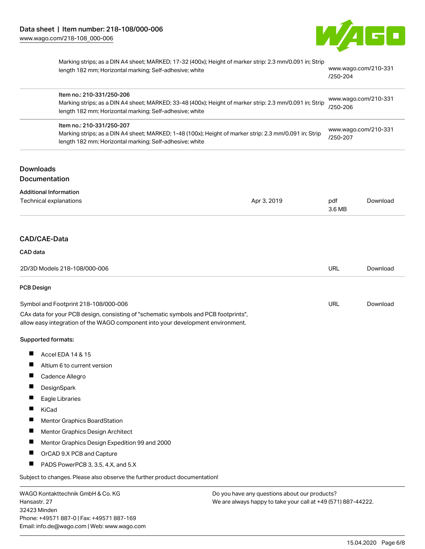

|                              | Marking strips; as a DIN A4 sheet; MARKED; 17-32 (400x); Height of marker strip: 2.3 mm/0.091 in; Strip<br>length 182 mm; Horizontal marking; Self-adhesive; white<br>Item no.: 210-331/250-206<br>Marking strips; as a DIN A4 sheet; MARKED; 33-48 (400x); Height of marker strip: 2.3 mm/0.091 in; Strip<br>length 182 mm; Horizontal marking; Self-adhesive; white<br>Item no.: 210-331/250-207<br>Marking strips; as a DIN A4 sheet; MARKED; 1-48 (100x); Height of marker strip: 2.3 mm/0.091 in; Strip<br>length 182 mm; Horizontal marking; Self-adhesive; white |             | www.wago.com/210-331<br>/250-204<br>www.wago.com/210-331<br>/250-206<br>www.wago.com/210-331<br>/250-207 |          |
|------------------------------|-------------------------------------------------------------------------------------------------------------------------------------------------------------------------------------------------------------------------------------------------------------------------------------------------------------------------------------------------------------------------------------------------------------------------------------------------------------------------------------------------------------------------------------------------------------------------|-------------|----------------------------------------------------------------------------------------------------------|----------|
|                              |                                                                                                                                                                                                                                                                                                                                                                                                                                                                                                                                                                         |             |                                                                                                          |          |
|                              |                                                                                                                                                                                                                                                                                                                                                                                                                                                                                                                                                                         |             |                                                                                                          |          |
| <b>Downloads</b>             |                                                                                                                                                                                                                                                                                                                                                                                                                                                                                                                                                                         |             |                                                                                                          |          |
| Documentation                |                                                                                                                                                                                                                                                                                                                                                                                                                                                                                                                                                                         |             |                                                                                                          |          |
|                              | <b>Additional Information</b><br><b>Technical explanations</b>                                                                                                                                                                                                                                                                                                                                                                                                                                                                                                          | Apr 3, 2019 | pdf<br>3.6 MB                                                                                            | Download |
| CAD/CAE-Data                 |                                                                                                                                                                                                                                                                                                                                                                                                                                                                                                                                                                         |             |                                                                                                          |          |
| CAD data                     |                                                                                                                                                                                                                                                                                                                                                                                                                                                                                                                                                                         |             |                                                                                                          |          |
| 2D/3D Models 218-108/000-006 |                                                                                                                                                                                                                                                                                                                                                                                                                                                                                                                                                                         | <b>URL</b>  | Download                                                                                                 |          |
| <b>PCB Design</b>            |                                                                                                                                                                                                                                                                                                                                                                                                                                                                                                                                                                         |             |                                                                                                          |          |
|                              | Symbol and Footprint 218-108/000-006                                                                                                                                                                                                                                                                                                                                                                                                                                                                                                                                    |             | <b>URL</b>                                                                                               | Download |
|                              | CAx data for your PCB design, consisting of "schematic symbols and PCB footprints",<br>allow easy integration of the WAGO component into your development environment.                                                                                                                                                                                                                                                                                                                                                                                                  |             |                                                                                                          |          |
| <b>Supported formats:</b>    |                                                                                                                                                                                                                                                                                                                                                                                                                                                                                                                                                                         |             |                                                                                                          |          |
| H                            | Accel EDA 14 & 15                                                                                                                                                                                                                                                                                                                                                                                                                                                                                                                                                       |             |                                                                                                          |          |
|                              | Altium 6 to current version                                                                                                                                                                                                                                                                                                                                                                                                                                                                                                                                             |             |                                                                                                          |          |
| ш                            | Cadence Allegro                                                                                                                                                                                                                                                                                                                                                                                                                                                                                                                                                         |             |                                                                                                          |          |
|                              | DesignSpark                                                                                                                                                                                                                                                                                                                                                                                                                                                                                                                                                             |             |                                                                                                          |          |
|                              | Eagle Libraries                                                                                                                                                                                                                                                                                                                                                                                                                                                                                                                                                         |             |                                                                                                          |          |
| KiCad                        |                                                                                                                                                                                                                                                                                                                                                                                                                                                                                                                                                                         |             |                                                                                                          |          |
| L                            | Mentor Graphics BoardStation                                                                                                                                                                                                                                                                                                                                                                                                                                                                                                                                            |             |                                                                                                          |          |
| п                            | Mentor Graphics Design Architect                                                                                                                                                                                                                                                                                                                                                                                                                                                                                                                                        |             |                                                                                                          |          |
| ш                            | Mentor Graphics Design Expedition 99 and 2000                                                                                                                                                                                                                                                                                                                                                                                                                                                                                                                           |             |                                                                                                          |          |
| L                            | OrCAD 9.X PCB and Capture                                                                                                                                                                                                                                                                                                                                                                                                                                                                                                                                               |             |                                                                                                          |          |
|                              | PADS PowerPCB 3, 3.5, 4.X, and 5.X                                                                                                                                                                                                                                                                                                                                                                                                                                                                                                                                      |             |                                                                                                          |          |
|                              | Subject to changes. Please also observe the further product documentation!                                                                                                                                                                                                                                                                                                                                                                                                                                                                                              |             |                                                                                                          |          |
|                              | WAGO Kontakttechnik GmbH & Co. KG<br>Do you have any questions about our products?                                                                                                                                                                                                                                                                                                                                                                                                                                                                                      |             |                                                                                                          |          |

WAGO Kontakttechnik GmbH & Co. KG Hansastr. 27 32423 Minden Phone: +49571 887-0 | Fax: +49571 887-169 Email: info.de@wago.com | Web: www.wago.com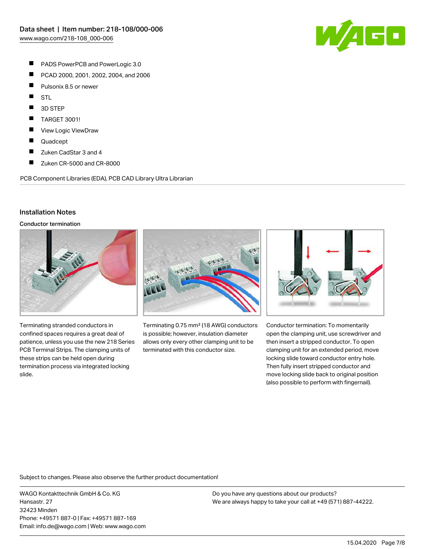**AGO** 

- П PADS PowerPCB and PowerLogic 3.0
- П PCAD 2000, 2001, 2002, 2004, and 2006
- П Pulsonix 8.5 or newer
- П **STL**
- П 3D STEP
- П TARGET 3001!
- $\blacksquare$ View Logic ViewDraw
- $\blacksquare$ Quadcept
- $\blacksquare$ Zuken CadStar 3 and 4
- П Zuken CR-5000 and CR-8000

PCB Component Libraries (EDA), PCB CAD Library Ultra Librarian

### Installation Notes

Conductor termination



Terminating stranded conductors in confined spaces requires a great deal of patience, unless you use the new 218 Series PCB Terminal Strips. The clamping units of these strips can be held open during termination process via integrated locking slide.



Terminating 0.75 mm² (18 AWG) conductors is possible; however, insulation diameter allows only every other clamping unit to be terminated with this conductor size.



Conductor termination: To momentarily open the clamping unit, use screwdriver and then insert a stripped conductor. To open clamping unit for an extended period, move locking slide toward conductor entry hole. Then fully insert stripped conductor and move locking slide back to original position (also possible to perform with fingernail).

Subject to changes. Please also observe the further product documentation!

WAGO Kontakttechnik GmbH & Co. KG Hansastr. 27 32423 Minden Phone: +49571 887-0 | Fax: +49571 887-169 Email: info.de@wago.com | Web: www.wago.com